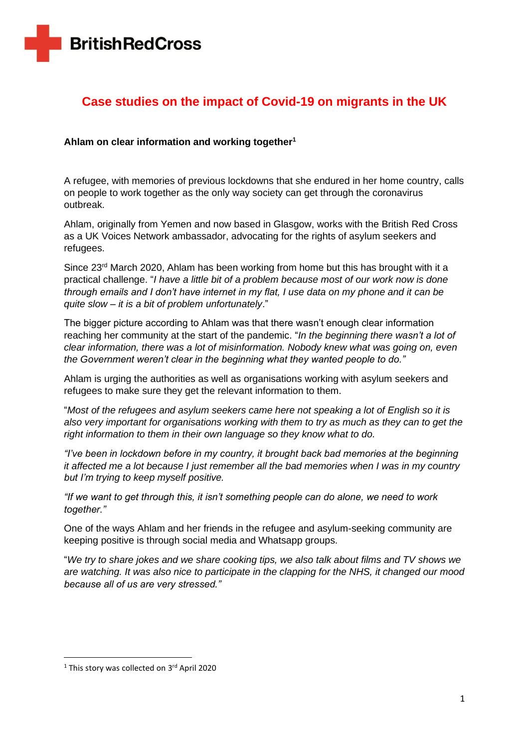# **Case studies on the impact of Covid-19 on migrants in the UK**

## **Ahlam on clear information and working together<sup>1</sup>**

A refugee, with memories of previous lockdowns that she endured in her home country, calls on people to work together as the only way society can get through the coronavirus outbreak.

Ahlam, originally from Yemen and now based in Glasgow, works with the British Red Cross as a UK Voices Network ambassador, advocating for the rights of asylum seekers and refugees.

Since  $23<sup>rd</sup>$  March 2020, Ahlam has been working from home but this has brought with it a practical challenge. "*I have a little bit of a problem because most of our work now is done through emails and I don't have internet in my flat, I use data on my phone and it can be quite slow – it is a bit of problem unfortunately*."

The bigger picture according to Ahlam was that there wasn't enough clear information reaching her community at the start of the pandemic. "*In the beginning there wasn't a lot of clear information, there was a lot of misinformation. Nobody knew what was going on, even the Government weren't clear in the beginning what they wanted people to do."*

Ahlam is urging the authorities as well as organisations working with asylum seekers and refugees to make sure they get the relevant information to them.

"*Most of the refugees and asylum seekers came here not speaking a lot of English so it is also very important for organisations working with them to try as much as they can to get the right information to them in their own language so they know what to do.*

*"I've been in lockdown before in my country, it brought back bad memories at the beginning it affected me a lot because I just remember all the bad memories when I was in my country but I'm trying to keep myself positive.* 

*"If we want to get through this, it isn't something people can do alone, we need to work together."*

One of the ways Ahlam and her friends in the refugee and asylum-seeking community are keeping positive is through social media and Whatsapp groups.

"*We try to share jokes and we share cooking tips, we also talk about films and TV shows we are watching. It was also nice to participate in the clapping for the NHS, it changed our mood because all of us are very stressed."*

<sup>&</sup>lt;sup>1</sup> This story was collected on 3<sup>rd</sup> April 2020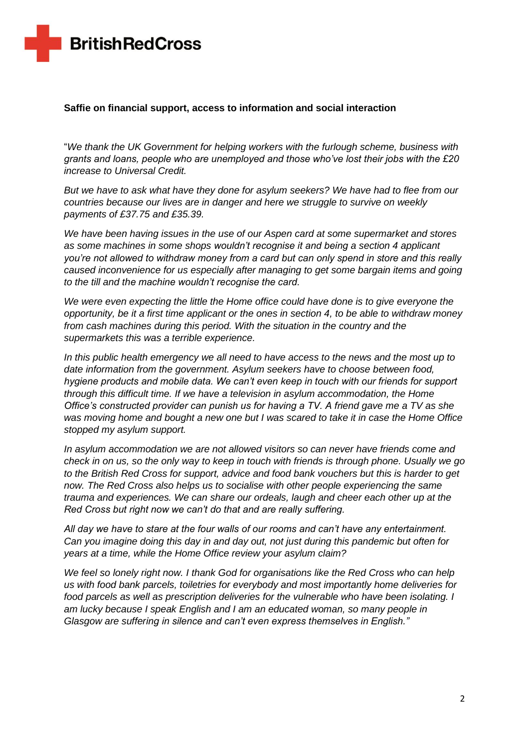#### **Saffie on financial support, access to information and social interaction**

"*We thank the UK Government for helping workers with the furlough scheme, business with grants and loans, people who are unemployed and those who've lost their jobs with the £20 increase to Universal Credit.* 

*But we have to ask what have they done for asylum seekers? We have had to flee from our countries because our lives are in danger and here we struggle to survive on weekly payments of £37.75 and £35.39.* 

*We have been having issues in the use of our Aspen card at some supermarket and stores as some machines in some shops wouldn't recognise it and being a section 4 applicant you're not allowed to withdraw money from a card but can only spend in store and this really caused inconvenience for us especially after managing to get some bargain items and going to the till and the machine wouldn't recognise the card.* 

*We were even expecting the little the Home office could have done is to give everyone the opportunity, be it a first time applicant or the ones in section 4, to be able to withdraw money from cash machines during this period. With the situation in the country and the supermarkets this was a terrible experience.*

*In this public health emergency we all need to have access to the news and the most up to date information from the government. Asylum seekers have to choose between food, hygiene products and mobile data. We can't even keep in touch with our friends for support through this difficult time. If we have a television in asylum accommodation, the Home Office's constructed provider can punish us for having a TV. A friend gave me a TV as she was moving home and bought a new one but I was scared to take it in case the Home Office stopped my asylum support.* 

*In asylum accommodation we are not allowed visitors so can never have friends come and check in on us, so the only way to keep in touch with friends is through phone. Usually we go to the British Red Cross for support, advice and food bank vouchers but this is harder to get now. The Red Cross also helps us to socialise with other people experiencing the same trauma and experiences. We can share our ordeals, laugh and cheer each other up at the Red Cross but right now we can't do that and are really suffering.* 

*All day we have to stare at the four walls of our rooms and can't have any entertainment. Can you imagine doing this day in and day out, not just during this pandemic but often for years at a time, while the Home Office review your asylum claim?* 

*We feel so lonely right now. I thank God for organisations like the Red Cross who can help us with food bank parcels, toiletries for everybody and most importantly home deliveries for food parcels as well as prescription deliveries for the vulnerable who have been isolating. I am lucky because I speak English and I am an educated woman, so many people in Glasgow are suffering in silence and can't even express themselves in English."*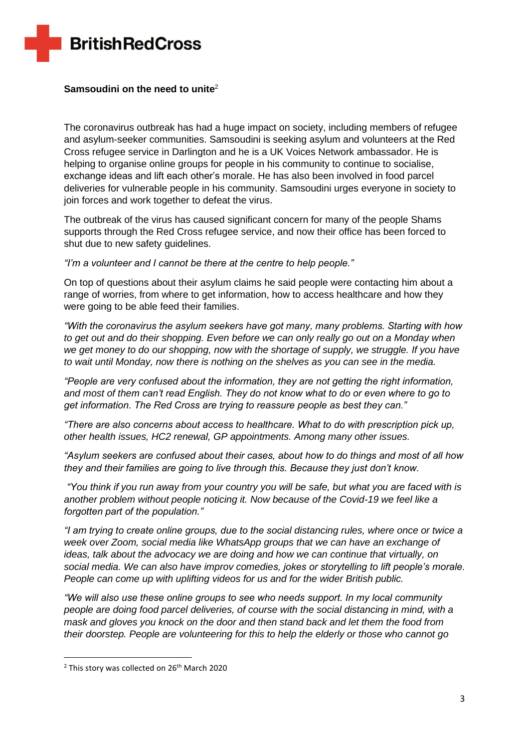# **Samsoudini on the need to unite**<sup>2</sup>

The coronavirus outbreak has had a huge impact on society, including members of refugee and asylum-seeker communities. Samsoudini is seeking asylum and volunteers at the Red Cross refugee service in Darlington and he is a UK Voices Network ambassador. He is helping to organise online groups for people in his community to continue to socialise, exchange ideas and lift each other's morale. He has also been involved in food parcel deliveries for vulnerable people in his community. Samsoudini urges everyone in society to join forces and work together to defeat the virus.

The outbreak of the virus has caused significant concern for many of the people Shams supports through the Red Cross refugee service, and now their office has been forced to shut due to new safety guidelines.

*"I'm a volunteer and I cannot be there at the centre to help people."*

On top of questions about their asylum claims he said people were contacting him about a range of worries, from where to get information, how to access healthcare and how they were going to be able feed their families.

*"With the coronavirus the asylum seekers have got many, many problems. Starting with how to get out and do their shopping. Even before we can only really go out on a Monday when we get money to do our shopping, now with the shortage of supply, we struggle. If you have to wait until Monday, now there is nothing on the shelves as you can see in the media.*

*"People are very confused about the information, they are not getting the right information, and most of them can't read English. They do not know what to do or even where to go to get information. The Red Cross are trying to reassure people as best they can."*

*"There are also concerns about access to healthcare. What to do with prescription pick up, other health issues, HC2 renewal, GP appointments. Among many other issues.*

*"Asylum seekers are confused about their cases, about how to do things and most of all how they and their families are going to live through this. Because they just don't know.*

*"You think if you run away from your country you will be safe, but what you are faced with is another problem without people noticing it. Now because of the Covid-19 we feel like a forgotten part of the population."*

*"I am trying to create online groups, due to the social distancing rules, where once or twice a week over Zoom, social media like WhatsApp groups that we can have an exchange of ideas, talk about the advocacy we are doing and how we can continue that virtually, on social media. We can also have improv comedies, jokes or storytelling to lift people's morale. People can come up with uplifting videos for us and for the wider British public.*

*"We will also use these online groups to see who needs support. In my local community people are doing food parcel deliveries, of course with the social distancing in mind, with a mask and gloves you knock on the door and then stand back and let them the food from their doorstep. People are volunteering for this to help the elderly or those who cannot go* 

 $2$  This story was collected on 26<sup>th</sup> March 2020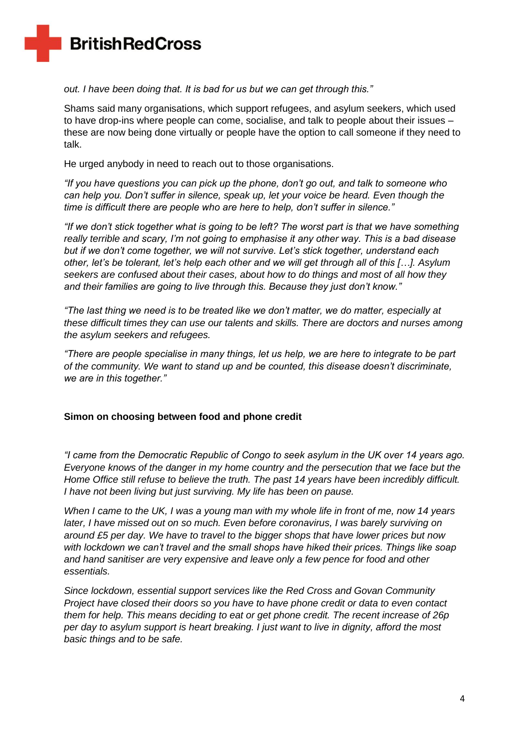### *out. I have been doing that. It is bad for us but we can get through this."*

Shams said many organisations, which support refugees, and asylum seekers, which used to have drop-ins where people can come, socialise, and talk to people about their issues – these are now being done virtually or people have the option to call someone if they need to talk.

He urged anybody in need to reach out to those organisations.

*"If you have questions you can pick up the phone, don't go out, and talk to someone who can help you. Don't suffer in silence, speak up, let your voice be heard. Even though the time is difficult there are people who are here to help, don't suffer in silence."*

*"If we don't stick together what is going to be left? The worst part is that we have something really terrible and scary, I'm not going to emphasise it any other way. This is a bad disease but if we don't come together, we will not survive. Let's stick together, understand each other, let's be tolerant, let's help each other and we will get through all of this […]. Asylum seekers are confused about their cases, about how to do things and most of all how they and their families are going to live through this. Because they just don't know."*

*"The last thing we need is to be treated like we don't matter, we do matter, especially at these difficult times they can use our talents and skills. There are doctors and nurses among the asylum seekers and refugees.* 

*"There are people specialise in many things, let us help, we are here to integrate to be part of the community. We want to stand up and be counted, this disease doesn't discriminate, we are in this together."*

#### **Simon on choosing between food and phone credit**

*"I came from the Democratic Republic of Congo to seek asylum in the UK over 14 years ago. Everyone knows of the danger in my home country and the persecution that we face but the Home Office still refuse to believe the truth. The past 14 years have been incredibly difficult. I have not been living but just surviving. My life has been on pause.* 

*When I came to the UK, I was a young man with my whole life in front of me, now 14 years later, I have missed out on so much. Even before coronavirus, I was barely surviving on around £5 per day. We have to travel to the bigger shops that have lower prices but now with lockdown we can't travel and the small shops have hiked their prices. Things like soap and hand sanitiser are very expensive and leave only a few pence for food and other essentials.* 

*Since lockdown, essential support services like the Red Cross and Govan Community Project have closed their doors so you have to have phone credit or data to even contact them for help. This means deciding to eat or get phone credit. The recent increase of 26p per day to asylum support is heart breaking. I just want to live in dignity, afford the most basic things and to be safe.*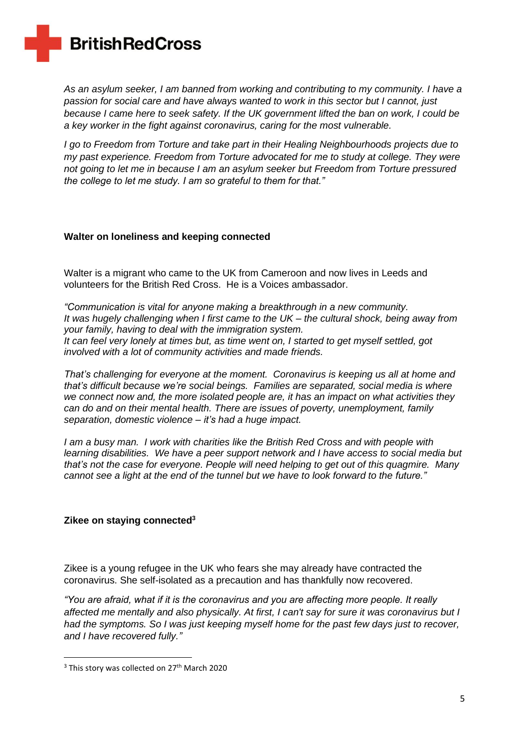*As an asylum seeker, I am banned from working and contributing to my community. I have a passion for social care and have always wanted to work in this sector but I cannot, just because I came here to seek safety. If the UK government lifted the ban on work, I could be a key worker in the fight against coronavirus, caring for the most vulnerable.*

*I go to Freedom from Torture and take part in their Healing Neighbourhoods projects due to my past experience. Freedom from Torture advocated for me to study at college. They were not going to let me in because I am an asylum seeker but Freedom from Torture pressured the college to let me study. I am so grateful to them for that."*

#### **Walter on loneliness and keeping connected**

Walter is a migrant who came to the UK from Cameroon and now lives in Leeds and volunteers for the British Red Cross. He is a Voices ambassador.

*"Communication is vital for anyone making a breakthrough in a new community. It was hugely challenging when I first came to the UK – the cultural shock, being away from your family, having to deal with the immigration system. It can feel very lonely at times but, as time went on, I started to get myself settled, got involved with a lot of community activities and made friends.*

*That's challenging for everyone at the moment. Coronavirus is keeping us all at home and that's difficult because we're social beings. Families are separated, social media is where we connect now and, the more isolated people are, it has an impact on what activities they can do and on their mental health. There are issues of poverty, unemployment, family separation, domestic violence – it's had a huge impact.*

*I am a busy man. I work with charities like the British Red Cross and with people with learning disabilities. We have a peer support network and I have access to social media but that's not the case for everyone. People will need helping to get out of this quagmire. Many cannot see a light at the end of the tunnel but we have to look forward to the future."*

## **Zikee on staying connected<sup>3</sup>**

Zikee is a young refugee in the UK who fears she may already have contracted the coronavirus. She self-isolated as a precaution and has thankfully now recovered.

*"You are afraid, what if it is the coronavirus and you are affecting more people. It really affected me mentally and also physically. At first, I can't say for sure it was coronavirus but I had the symptoms. So I was just keeping myself home for the past few days just to recover, and I have recovered fully."*

<sup>&</sup>lt;sup>3</sup> This story was collected on 27<sup>th</sup> March 2020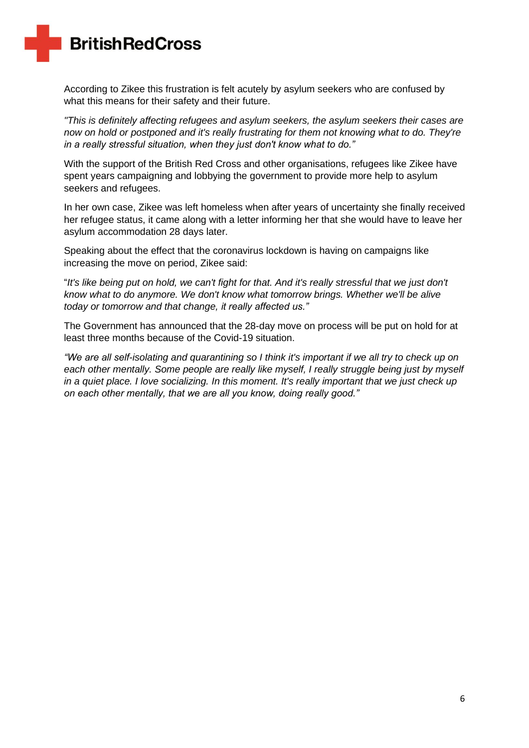According to Zikee this frustration is felt acutely by asylum seekers who are confused by what this means for their safety and their future.

*"This is definitely affecting refugees and asylum seekers, the asylum seekers their cases are now on hold or postponed and it's really frustrating for them not knowing what to do. They're in a really stressful situation, when they just don't know what to do."*

With the support of the British Red Cross and other organisations, refugees like Zikee have spent years campaigning and lobbying the government to provide more help to asylum seekers and refugees.

In her own case, Zikee was left homeless when after years of uncertainty she finally received her refugee status, it came along with a letter informing her that she would have to leave her asylum accommodation 28 days later.

Speaking about the effect that the coronavirus lockdown is having on campaigns like increasing the move on period, Zikee said:

"*It's like being put on hold, we can't fight for that. And it's really stressful that we just don't know what to do anymore. We don't know what tomorrow brings. Whether we'll be alive today or tomorrow and that change, it really affected us."*

The Government has announced that the 28-day move on process will be put on hold for at least three months because of the Covid-19 situation.

*"We are all self-isolating and quarantining so I think it's important if we all try to check up on each other mentally. Some people are really like myself, I really struggle being just by myself in a quiet place. I love socializing. In this moment. It's really important that we just check up on each other mentally, that we are all you know, doing really good."*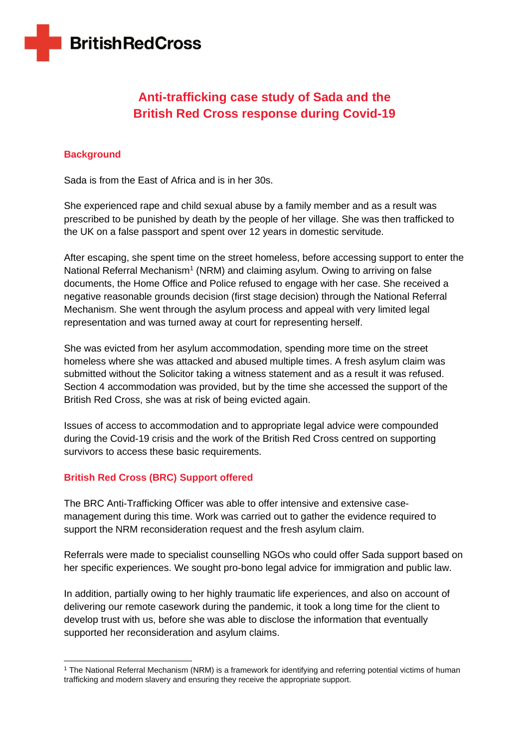# **Anti-trafficking case study of Sada and the British Red Cross response during Covid-19**

# **Background**

Sada is from the East of Africa and is in her 30s.

She experienced rape and child sexual abuse by a family member and as a result was prescribed to be punished by death by the people of her village. She was then trafficked to the UK on a false passport and spent over 12 years in domestic servitude.

After escaping, she spent time on the street homeless, before accessing support to enter the National Referral Mechanism<sup>1</sup> (NRM) and claiming asylum. Owing to arriving on false documents, the Home Office and Police refused to engage with her case. She received a negative reasonable grounds decision (first stage decision) through the National Referral Mechanism. She went through the asylum process and appeal with very limited legal representation and was turned away at court for representing herself.

She was evicted from her asylum accommodation, spending more time on the street homeless where she was attacked and abused multiple times. A fresh asylum claim was submitted without the Solicitor taking a witness statement and as a result it was refused. Section 4 accommodation was provided, but by the time she accessed the support of the British Red Cross, she was at risk of being evicted again.

Issues of access to accommodation and to appropriate legal advice were compounded during the Covid-19 crisis and the work of the British Red Cross centred on supporting survivors to access these basic requirements.

## **British Red Cross (BRC) Support offered**

The BRC Anti-Trafficking Officer was able to offer intensive and extensive casemanagement during this time. Work was carried out to gather the evidence required to support the NRM reconsideration request and the fresh asylum claim.

Referrals were made to specialist counselling NGOs who could offer Sada support based on her specific experiences. We sought pro-bono legal advice for immigration and public law.

In addition, partially owing to her highly traumatic life experiences, and also on account of delivering our remote casework during the pandemic, it took a long time for the client to develop trust with us, before she was able to disclose the information that eventually supported her reconsideration and asylum claims.

<sup>1</sup> The National Referral Mechanism (NRM) is a framework for identifying and referring potential victims of human trafficking and modern slavery and ensuring they receive the appropriate support.